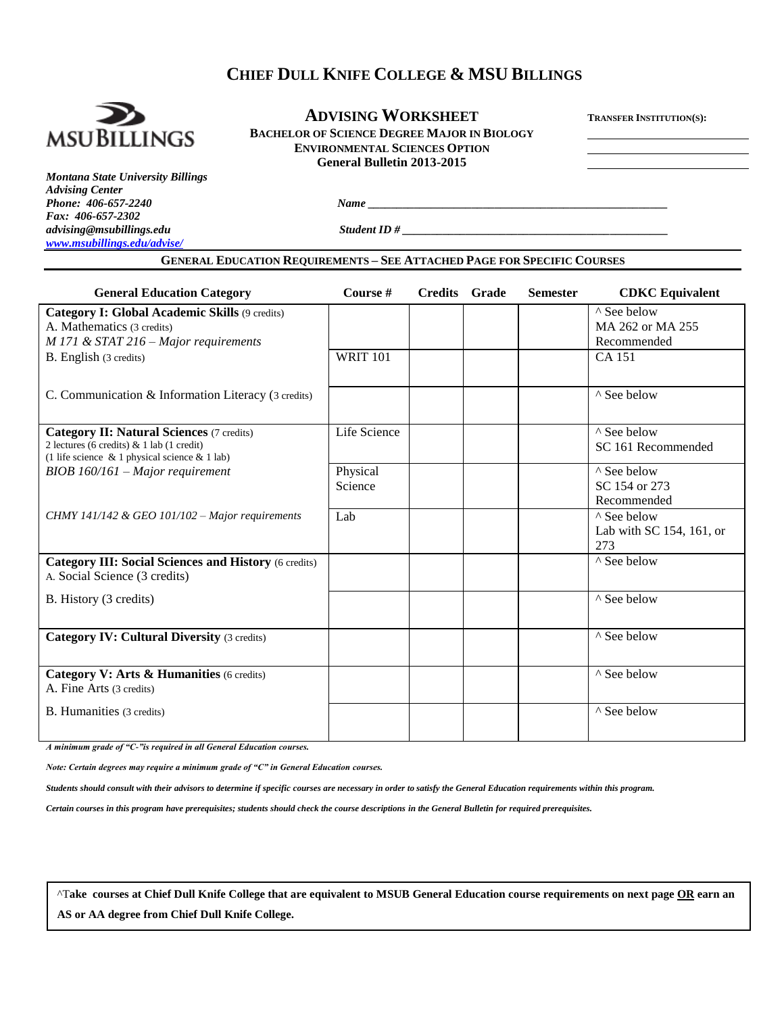# **CHIEF DULL KNIFE COLLEGE & MSU BILLINGS**



## **ADVISING WORKSHEET <sup>T</sup>RANSFER INSTITUTION(S): BACHELOR OF SCIENCE DEGREE MAJOR IN BIOLOGY ENVIRONMENTAL SCIENCES OPTION General Bulletin 2013-2015**

*Montana State University Billings Advising Center Phone:* 406-657-2240 *Name Fax: 406-657-2302 advising@msubillings.edu Student ID # [www.msubillings.edu/advise/](http://www.msubillings.edu/advise/)*

**GENERAL EDUCATION REQUIREMENTS – SEE ATTACHED PAGE FOR SPECIFIC COURSES**

| <b>General Education Category</b>                                                                                                                       | Course #            | <b>Credits</b> Grade | <b>Semester</b> | <b>CDKC</b> Equivalent                         |
|---------------------------------------------------------------------------------------------------------------------------------------------------------|---------------------|----------------------|-----------------|------------------------------------------------|
| <b>Category I: Global Academic Skills (9 credits)</b><br>A. Mathematics (3 credits)                                                                     |                     |                      |                 | ^ See below<br>MA 262 or MA 255                |
| $M$ 171 & STAT 216 – Major requirements                                                                                                                 |                     |                      |                 | Recommended                                    |
| B. English (3 credits)                                                                                                                                  | <b>WRIT 101</b>     |                      |                 | <b>CA 151</b>                                  |
| C. Communication & Information Literacy (3 credits)                                                                                                     |                     |                      |                 | ^ See below                                    |
| <b>Category II: Natural Sciences (7 credits)</b><br>2 lectures (6 credits) $\&$ 1 lab (1 credit)<br>(1 life science $\&$ 1 physical science $\&$ 1 lab) | Life Science        |                      |                 | ^ See below<br>SC 161 Recommended              |
| $BIOB$ 160/161 – Major requirement                                                                                                                      | Physical<br>Science |                      |                 | ^ See below<br>SC 154 or 273<br>Recommended    |
| CHMY 141/142 & GEO 101/102 – Major requirements                                                                                                         | Lab                 |                      |                 | ^ See below<br>Lab with SC 154, 161, or<br>273 |
| <b>Category III: Social Sciences and History (6 credits)</b><br>A. Social Science (3 credits)                                                           |                     |                      |                 | ^ See below                                    |
| B. History (3 credits)                                                                                                                                  |                     |                      |                 | ^ See below                                    |
| <b>Category IV: Cultural Diversity (3 credits)</b>                                                                                                      |                     |                      |                 | ^ See below                                    |
| Category V: Arts & Humanities (6 credits)<br>A. Fine Arts (3 credits)                                                                                   |                     |                      |                 | ^ See below                                    |
| B. Humanities (3 credits)                                                                                                                               |                     |                      |                 | ^ See below                                    |

*A minimum grade of "C-"is required in all General Education courses.* 

*Note: Certain degrees may require a minimum grade of "C" in General Education courses.* 

*Students should consult with their advisors to determine if specific courses are necessary in order to satisfy the General Education requirements within this program.*

*Certain courses in this program have prerequisites; students should check the course descriptions in the General Bulletin for required prerequisites.*

^T**ake courses at Chief Dull Knife College that are equivalent to MSUB General Education course requirements on next page OR earn an AS or AA degree from Chief Dull Knife College.**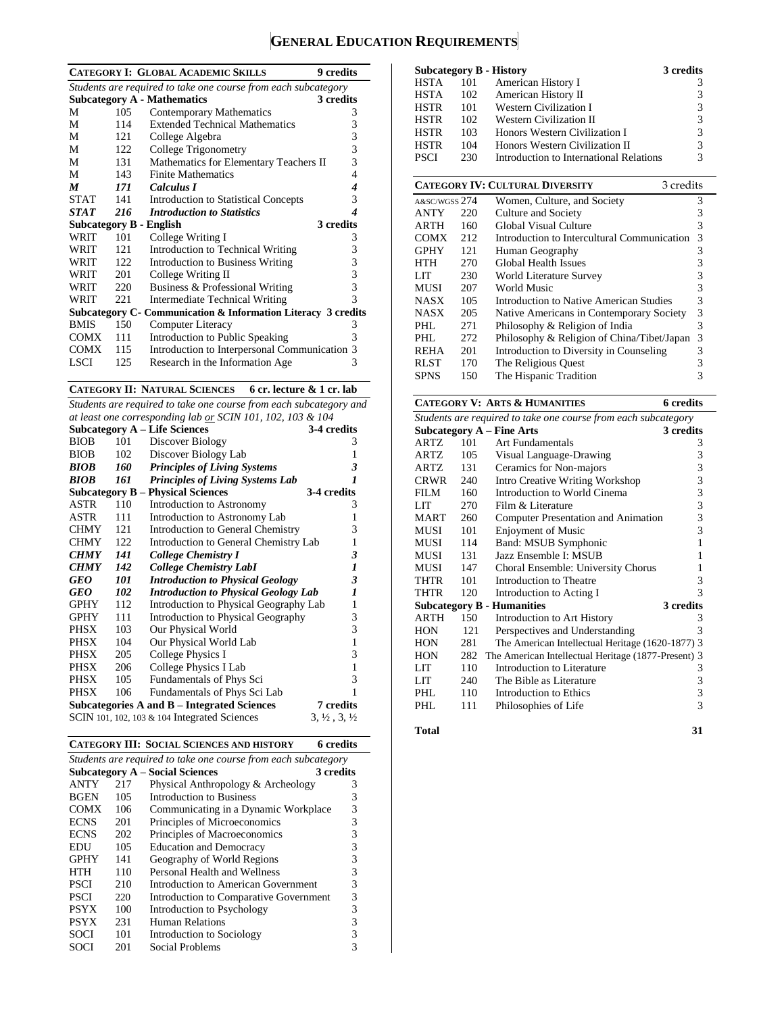# **GENERAL EDUCATION REQUIREMENTS**

|             |      | <b>CATEGORY I: GLOBAL ACADEMIC SKILLS</b><br>9 credits         |                  |
|-------------|------|----------------------------------------------------------------|------------------|
|             |      | Students are required to take one course from each subcategory |                  |
|             |      | <b>Subcategory A - Mathematics</b><br>3 credits                |                  |
| М           | 105  | Contemporary Mathematics                                       | 3                |
| М           | 114  | <b>Extended Technical Mathematics</b>                          | 3                |
| М           | 121  | College Algebra                                                | 3                |
| М           | 122  | College Trigonometry                                           | 3                |
| М           | 131  | Mathematics for Elementary Teachers II                         | 3                |
| М           | 143  | <b>Finite Mathematics</b>                                      | 4                |
| M           | 171  | Calculus I                                                     | $\boldsymbol{4}$ |
| <b>STAT</b> | 141  | <b>Introduction to Statistical Concepts</b>                    | 3                |
| <b>STAT</b> | 216  | <b>Introduction to Statistics</b>                              | 4                |
|             |      | 3 credits<br><b>Subcategory B - English</b>                    |                  |
| WRIT        | 101  | College Writing I                                              | 3                |
| WRIT        | 121  | Introduction to Technical Writing                              | 3                |
| WRIT        | 122. | <b>Introduction to Business Writing</b>                        | 3                |
| WRIT        | 201  | College Writing II                                             | 3                |
| WRIT        | 220  | Business & Professional Writing                                | 3                |
| WRIT        | 221  | <b>Intermediate Technical Writing</b>                          | 3                |
|             |      | Subcategory C- Communication & Information Literacy 3 credits  |                  |
| <b>BMIS</b> | 150  | Computer Literacy                                              | 3                |
| <b>COMX</b> | 111  | Introduction to Public Speaking                                | 3                |
| <b>COMX</b> | 115  | Introduction to Interpersonal Communication 3                  |                  |
| LSCI        | 125  | Research in the Information Age                                | 3                |

**CATEGORY II: NATURAL SCIENCES 6 cr. lecture & 1 cr. lab**

*Students are required to take one course from each subcategory and at least one corresponding lab or SCIN 101, 102, 103 & 104*

| at least one corresponaing lab or SCIN 101, 102, 103 & 104 |     |                                                    |                                  |  |
|------------------------------------------------------------|-----|----------------------------------------------------|----------------------------------|--|
|                                                            |     | <b>Subcategory A - Life Sciences</b>               | 3-4 credits                      |  |
| <b>BIOB</b>                                                | 101 | Discover Biology                                   | 3                                |  |
| <b>BIOB</b>                                                | 102 | Discover Biology Lab                               | 1                                |  |
| <b>BIOB</b>                                                | 160 | <b>Principles of Living Systems</b>                | 3                                |  |
| BIOB                                                       | 161 | <b>Principles of Living Systems Lab</b>            | 1                                |  |
|                                                            |     | <b>Subcategory B – Physical Sciences</b>           | 3-4 credits                      |  |
| <b>ASTR</b>                                                | 110 | Introduction to Astronomy                          | 3                                |  |
| ASTR                                                       | 111 | Introduction to Astronomy Lab                      | 1                                |  |
| <b>CHMY</b>                                                | 121 | Introduction to General Chemistry                  | 3                                |  |
| <b>CHMY</b>                                                | 122 | Introduction to General Chemistry Lab              | 1                                |  |
| <b>CHMY</b>                                                | 141 | College Chemistry I                                | 3                                |  |
| <b>CHMY</b>                                                | 142 | <b>College Chemistry LabI</b>                      | $\boldsymbol{l}$                 |  |
| GEO                                                        | 101 | <b>Introduction to Physical Geology</b>            | 3                                |  |
| GEO                                                        | 102 | <b>Introduction to Physical Geology Lab</b>        | $\boldsymbol{l}$                 |  |
| <b>GPHY</b>                                                | 112 | Introduction to Physical Geography Lab             | $\mathbf{1}$                     |  |
| <b>GPHY</b>                                                | 111 | Introduction to Physical Geography                 | 3                                |  |
| PHSX                                                       | 103 | Our Physical World                                 | 3                                |  |
| <b>PHSX</b>                                                | 104 | Our Physical World Lab                             | $\mathbf{1}$                     |  |
| <b>PHSX</b>                                                | 205 | College Physics I                                  | 3                                |  |
| <b>PHSX</b>                                                | 206 | College Physics I Lab                              | $\mathbf{1}$                     |  |
| PHSX                                                       | 105 | Fundamentals of Phys Sci                           | 3                                |  |
| <b>PHSX</b>                                                | 106 | Fundamentals of Phys Sci Lab                       | 1                                |  |
|                                                            |     | <b>Subcategories A and B - Integrated Sciences</b> | <b>7</b> credits                 |  |
|                                                            |     | SCIN 101, 102, 103 $&$ 104 Integrated Sciences     | $3, \frac{1}{2}, 3, \frac{1}{2}$ |  |

|  | <b>CATEGORY III: SOCIAL SCIENCES AND HISTORY</b> | 6 credits |
|--|--------------------------------------------------|-----------|
|--|--------------------------------------------------|-----------|

| Students are required to take one course from each subcategory |     |                                        |           |  |
|----------------------------------------------------------------|-----|----------------------------------------|-----------|--|
|                                                                |     | <b>Subcategory A – Social Sciences</b> | 3 credits |  |
| <b>ANTY</b>                                                    | 217 | Physical Anthropology & Archeology     | 3         |  |
| <b>BGEN</b>                                                    | 105 | Introduction to Business               | 3         |  |
| <b>COMX</b>                                                    | 106 | Communicating in a Dynamic Workplace   | 3         |  |
| <b>ECNS</b>                                                    | 201 | Principles of Microeconomics           | 3         |  |
| <b>ECNS</b>                                                    | 202 | Principles of Macroeconomics           | 3         |  |
| EDU                                                            | 105 | <b>Education and Democracy</b>         | 3         |  |
| <b>GPHY</b>                                                    | 141 | Geography of World Regions             | 3         |  |
| HTH                                                            | 110 | Personal Health and Wellness           | 3         |  |
| <b>PSCI</b>                                                    | 210 | Introduction to American Government    | 3         |  |
| <b>PSCI</b>                                                    | 220 | Introduction to Comparative Government | 3         |  |
| <b>PSYX</b>                                                    | 100 | Introduction to Psychology             | 3         |  |
| <b>PSYX</b>                                                    | 231 | Human Relations                        | 3         |  |
| <b>SOCI</b>                                                    | 101 | Introduction to Sociology              | 3         |  |
| SOCI                                                           | 201 | Social Problems                        |           |  |

|             |     | <b>Subcategory B - History</b>          | 3 credits |
|-------------|-----|-----------------------------------------|-----------|
| HSTA        | 101 | American History I                      |           |
| HSTA        | 102 | American History II                     | 3         |
| <b>HSTR</b> | 101 | <b>Western Civilization I</b>           | 3         |
| <b>HSTR</b> | 102 | <b>Western Civilization II</b>          | 3         |
| <b>HSTR</b> | 103 | Honors Western Civilization I           | 3         |
| <b>HSTR</b> | 104 | Honors Western Civilization II          | 3         |
| <b>PSCI</b> | 230 | Introduction to International Relations | 3         |

| <b>CATEGORY IV: CULTURAL DIVERSITY</b><br>3 credits |     |                                             |   |  |  |
|-----------------------------------------------------|-----|---------------------------------------------|---|--|--|
| A&SC/WGSS 274                                       |     | Women, Culture, and Society                 | 3 |  |  |
| <b>ANTY</b>                                         | 220 | Culture and Society                         | 3 |  |  |
| ARTH                                                | 160 | Global Visual Culture                       | 3 |  |  |
| <b>COMX</b>                                         | 212 | Introduction to Intercultural Communication | 3 |  |  |
| <b>GPHY</b>                                         | 121 | Human Geography                             | 3 |  |  |
| <b>HTH</b>                                          | 270 | Global Health Issues                        | 3 |  |  |
| LIT                                                 | 230 | World Literature Survey                     | 3 |  |  |
| MUSI                                                | 207 | World Music                                 | 3 |  |  |
| <b>NASX</b>                                         | 105 | Introduction to Native American Studies     | 3 |  |  |
| <b>NASX</b>                                         | 205 | Native Americans in Contemporary Society    | 3 |  |  |
| PHI.                                                | 271 | Philosophy & Religion of India              | 3 |  |  |
| PHL                                                 | 272 | Philosophy & Religion of China/Tibet/Japan  | 3 |  |  |
| <b>REHA</b>                                         | 201 | Introduction to Diversity in Counseling     | 3 |  |  |
| <b>RLST</b>                                         | 170 | The Religious Quest                         |   |  |  |
| <b>SPNS</b>                                         | 150 | The Hispanic Tradition                      | 3 |  |  |

# **CATEGORY V: ARTS & HUMANITIES 6 credits**

| Students are required to take one course from each subcategory |     |                                                     |           |  |
|----------------------------------------------------------------|-----|-----------------------------------------------------|-----------|--|
|                                                                |     | <b>Subcategory A - Fine Arts</b>                    | 3 credits |  |
| <b>ARTZ</b>                                                    | 101 | Art Fundamentals                                    | 3         |  |
| ARTZ                                                           | 105 | Visual Language-Drawing                             | 3         |  |
| ARTZ.                                                          | 131 | Ceramics for Non-majors                             | 3         |  |
| CRWR                                                           | 240 | <b>Intro Creative Writing Workshop</b>              | 3         |  |
| FILM                                                           | 160 | Introduction to World Cinema                        | 3         |  |
| LIT                                                            | 270 | Film & Literature                                   | 3         |  |
| <b>MART</b>                                                    | 260 | <b>Computer Presentation and Animation</b>          | 3         |  |
| MUSI                                                           | 101 | <b>Enjoyment of Music</b>                           | 3         |  |
| MUSI                                                           | 114 | Band: MSUB Symphonic                                | 1         |  |
| <b>MUSI</b>                                                    | 131 | Jazz Ensemble I: MSUB                               | 1         |  |
| MUSI                                                           | 147 | Choral Ensemble: University Chorus                  | 1         |  |
| <b>THTR</b>                                                    | 101 | Introduction to Theatre                             | 3         |  |
| <b>THTR</b>                                                    | 120 | Introduction to Acting I                            | 3         |  |
|                                                                |     | <b>Subcategory B - Humanities</b>                   | 3 credits |  |
| <b>ARTH</b>                                                    | 150 | Introduction to Art History                         | 3         |  |
| <b>HON</b>                                                     | 121 | Perspectives and Understanding                      | 3         |  |
| <b>HON</b>                                                     | 281 | The American Intellectual Heritage (1620-1877) 3    |           |  |
| <b>HON</b>                                                     | 282 | The American Intellectual Heritage (1877-Present) 3 |           |  |
| LIT                                                            | 110 | Introduction to Literature                          | 3         |  |
| LIT                                                            | 240 | The Bible as Literature                             | 3         |  |
| PHL                                                            | 110 | Introduction to Ethics                              | 3         |  |
| PHL                                                            | 111 | Philosophies of Life                                | 3         |  |
|                                                                |     |                                                     |           |  |

#### **Total 31**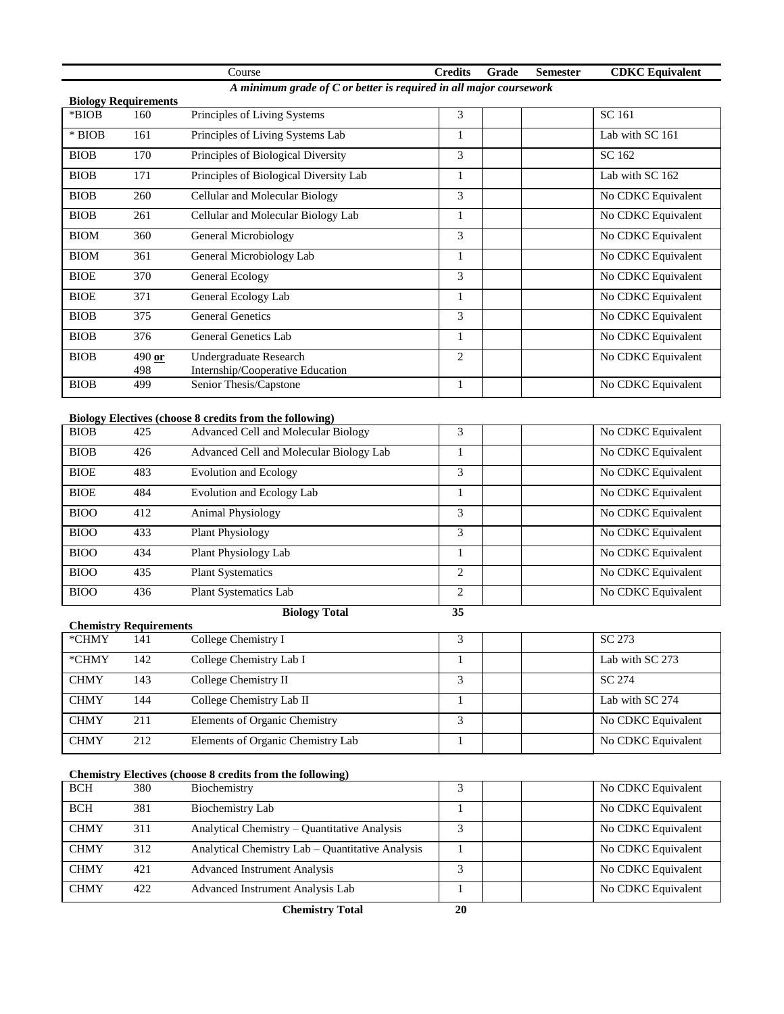|             |                                                                    | Course                                 | <b>Credits</b> | Grade | <b>Semester</b> | <b>CDKC</b> Equivalent |  |  |
|-------------|--------------------------------------------------------------------|----------------------------------------|----------------|-------|-----------------|------------------------|--|--|
|             | A minimum grade of C or better is required in all major coursework |                                        |                |       |                 |                        |  |  |
|             | <b>Biology Requirements</b>                                        |                                        |                |       |                 |                        |  |  |
| *BIOB       | 160                                                                | Principles of Living Systems           | 3              |       |                 | SC 161                 |  |  |
| $*$ BIOB    | 161                                                                | Principles of Living Systems Lab       |                |       |                 | Lab with SC 161        |  |  |
| <b>BIOB</b> | 170                                                                | Principles of Biological Diversity     | 3              |       |                 | SC 162                 |  |  |
| <b>BIOB</b> | 171                                                                | Principles of Biological Diversity Lab |                |       |                 | Lab with SC 162        |  |  |
| <b>BIOB</b> | 260                                                                | Cellular and Molecular Biology         | 3              |       |                 | No CDKC Equivalent     |  |  |
| <b>BIOB</b> | 261                                                                | Cellular and Molecular Biology Lab     | $\mathbf{1}$   |       |                 | No CDKC Equivalent     |  |  |
| <b>BIOM</b> | 360                                                                | General Microbiology                   | 3              |       |                 | No CDKC Equivalent     |  |  |
| <b>BIOM</b> | 361                                                                | General Microbiology Lab               |                |       |                 | No CDKC Equivalent     |  |  |
| <b>BIOE</b> | 370                                                                | General Ecology                        | 3              |       |                 | No CDKC Equivalent     |  |  |
| <b>BIOE</b> | 371                                                                | General Ecology Lab                    | 1              |       |                 | No CDKC Equivalent     |  |  |
| <b>BIOB</b> | 375                                                                | <b>General Genetics</b>                | 3              |       |                 | No CDKC Equivalent     |  |  |
| <b>BIOB</b> | 376                                                                | General Genetics Lab                   | 1              |       |                 | No CDKC Equivalent     |  |  |
| <b>BIOB</b> | $490$ or                                                           | Undergraduate Research                 | $\overline{2}$ |       |                 | No CDKC Equivalent     |  |  |
|             | 498                                                                | Internship/Cooperative Education       |                |       |                 |                        |  |  |
| <b>BIOB</b> | 499                                                                | Senior Thesis/Capstone                 |                |       |                 | No CDKC Equivalent     |  |  |

### **Biology Electives (choose 8 credits from the following)**

| $\sim$<br><b>BIOB</b> | 425 | Advanced Cell and Molecular Biology     |   | No CDKC Equivalent |
|-----------------------|-----|-----------------------------------------|---|--------------------|
| <b>BIOB</b>           | 426 | Advanced Cell and Molecular Biology Lab |   | No CDKC Equivalent |
| <b>BIOE</b>           | 483 | Evolution and Ecology                   | 3 | No CDKC Equivalent |
| <b>BIOE</b>           | 484 | Evolution and Ecology Lab               |   | No CDKC Equivalent |
| <b>BIOO</b>           | 412 | <b>Animal Physiology</b>                | 3 | No CDKC Equivalent |
| <b>BIOO</b>           | 433 | <b>Plant Physiology</b>                 | 3 | No CDKC Equivalent |
| <b>BIOO</b>           | 434 | Plant Physiology Lab                    |   | No CDKC Equivalent |
| <b>BIOO</b>           | 435 | <b>Plant Systematics</b>                | C | No CDKC Equivalent |
| <b>BIOO</b>           | 436 | <b>Plant Systematics Lab</b>            | C | No CDKC Equivalent |

**Biology Total 35**

| <b>Chemistry Requirements</b> |     |                                   |   |  |                    |  |
|-------------------------------|-----|-----------------------------------|---|--|--------------------|--|
| *CHMY                         | 141 | College Chemistry I               |   |  | SC 273             |  |
| *CHMY                         | 142 | College Chemistry Lab I           |   |  | Lab with SC 273    |  |
| <b>CHMY</b>                   | 143 | College Chemistry II              |   |  | SC 274             |  |
| <b>CHMY</b>                   | 144 | College Chemistry Lab II          |   |  | Lab with SC 274    |  |
| <b>CHMY</b>                   | 211 | Elements of Organic Chemistry     | 3 |  | No CDKC Equivalent |  |
| <b>CHMY</b>                   | 212 | Elements of Organic Chemistry Lab |   |  | No CDKC Equivalent |  |

#### **Chemistry Electives (choose 8 credits from the following)**

| <b>BCH</b>  | 380 | Biochemistry                                     |  | No CDKC Equivalent |
|-------------|-----|--------------------------------------------------|--|--------------------|
| <b>BCH</b>  | 381 | Biochemistry Lab                                 |  | No CDKC Equivalent |
| <b>CHMY</b> | 311 | Analytical Chemistry – Quantitative Analysis     |  | No CDKC Equivalent |
| <b>CHMY</b> | 312 | Analytical Chemistry Lab – Quantitative Analysis |  | No CDKC Equivalent |
| <b>CHMY</b> | 421 | <b>Advanced Instrument Analysis</b>              |  | No CDKC Equivalent |
| <b>CHMY</b> | 422 | Advanced Instrument Analysis Lab                 |  | No CDKC Equivalent |

**Chemistry Total 20**